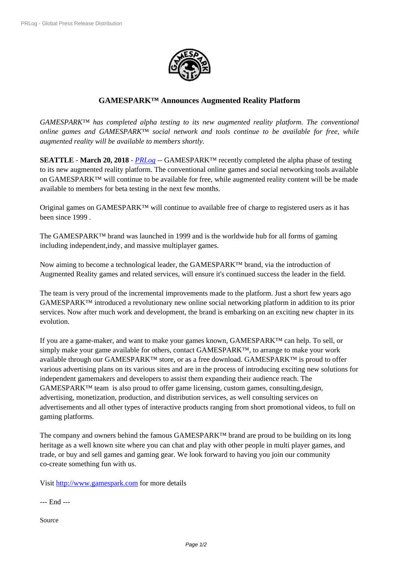

## **GAMESPARK™ [Announces Aug](https://biz.prlog.org/gamespark/)mented Reality Platform**

*GAMESPARK™ has completed alpha testing to its new augmented reality platform. The conventional online games and GAMESPARK™ social network and tools continue to be available for free, while augmented reality will be available to members shortly.*

**SEATTLE** - **March 20, 2018** - *PRLog* -- GAMESPARK™ recently completed the alpha phase of testing to its new augmented reality platform. The conventional online games and social networking tools available on GAMESPARK™ will continue to be available for free, while augmented reality content will be be made available to members for beta te[sting in](https://www.prlog.org) the next few months.

Original games on GAMESPARK™ will continue to available free of charge to registered users as it has been since 1999 .

The GAMESPARK<sup>™</sup> brand was launched in 1999 and is the worldwide hub for all forms of gaming including independent,indy, and massive multiplayer games.

Now aiming to become a technological leader, the GAMESPARK™ brand, via the introduction of Augmented Reality games and related services, will ensure it's continued success the leader in the field.

The team is very proud of the incremental improvements made to the platform. Just a short few years ago GAMESPARK™ introduced a revolutionary new online social networking platform in addition to its prior services. Now after much work and development, the brand is embarking on an exciting new chapter in its evolution.

If you are a game-maker, and want to make your games known, GAMESPARK™ can help. To sell, or simply make your game available for others, contact GAMESPARK™, to arrange to make your work available through our GAMESPARK™ store, or as a free download. GAMESPARK™ is proud to offer various advertising plans on its various sites and are in the process of introducing exciting new solutions for independent gamemakers and developers to assist them expanding their audience reach. The  $GAMESPARK<sup>TM</sup>$  team is also proud to offer game licensing, custom games, consulting, design, advertising, monetization, production, and distribution services, as well consulting services on advertisements and all other types of interactive products ranging from short promotional videos, to full on gaming platforms.

The company and owners behind the famous GAMESPARK™ brand are proud to be building on its long heritage as a well known site where you can chat and play with other people in multi player games, and trade, or buy and sell games and gaming gear. We look forward to having you join our community co-create something fun with us.

Visit http://www.gamespark.com for more details

--- End ---

Sourc[e](http://www.gamespark.com/)